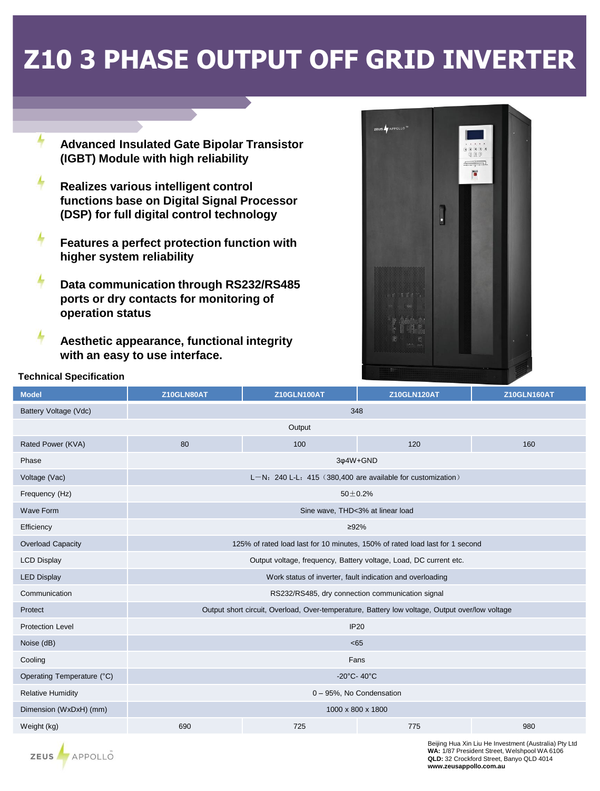## **Z10 3 PHASE OUTPUT OFF GRID INVERTER**

- **Advanced Insulated Gate Bipolar Transistor** (IGBT) Module with high reliability
- Realizes various intelligent control functions base on Digital Signal Processor (DSP) for full digital control technology
- 4 Features a perfect protection function with higher system reliability
- 4 Data communication through RS232/RS485 ports or dry contacts for monitoring of operation status
- 4 Aesthetic appearance, functional integrity with an easy to use interface.



## **Technical Specification**

| <b>Model</b>               | Z10GLN80AT                                                                                     | <b>Z10GLN100AT</b> | <b>Z10GLN120AT</b> | <b>Z10GLN160AT</b> |  |  |  |
|----------------------------|------------------------------------------------------------------------------------------------|--------------------|--------------------|--------------------|--|--|--|
| Battery Voltage (Vdc)      | 348                                                                                            |                    |                    |                    |  |  |  |
|                            |                                                                                                | Output             |                    |                    |  |  |  |
| Rated Power (KVA)          | 80                                                                                             | 100                | 120                | 160                |  |  |  |
| Phase                      | 3¢4W+GND                                                                                       |                    |                    |                    |  |  |  |
| Voltage (Vac)              | L-N: 240 L-L: 415 (380,400 are available for customization)                                    |                    |                    |                    |  |  |  |
| Frequency (Hz)             | $50 + 0.2%$                                                                                    |                    |                    |                    |  |  |  |
| <b>Wave Form</b>           | Sine wave, THD<3% at linear load                                                               |                    |                    |                    |  |  |  |
| Efficiency                 | ≥92%                                                                                           |                    |                    |                    |  |  |  |
| Overload Capacity          | 125% of rated load last for 10 minutes, 150% of rated load last for 1 second                   |                    |                    |                    |  |  |  |
| <b>LCD Display</b>         | Output voltage, frequency, Battery voltage, Load, DC current etc.                              |                    |                    |                    |  |  |  |
| <b>LED Display</b>         | Work status of inverter, fault indication and overloading                                      |                    |                    |                    |  |  |  |
| Communication              | RS232/RS485, dry connection communication signal                                               |                    |                    |                    |  |  |  |
| Protect                    | Output short circuit, Overload, Over-temperature, Battery low voltage, Output over/low voltage |                    |                    |                    |  |  |  |
| <b>Protection Level</b>    | <b>IP20</b>                                                                                    |                    |                    |                    |  |  |  |
| Noise (dB)                 | <65                                                                                            |                    |                    |                    |  |  |  |
| Cooling                    | Fans                                                                                           |                    |                    |                    |  |  |  |
| Operating Temperature (°C) | -20 $^{\circ}$ C- 40 $^{\circ}$ C                                                              |                    |                    |                    |  |  |  |
| <b>Relative Humidity</b>   | 0 - 95%, No Condensation                                                                       |                    |                    |                    |  |  |  |
| Dimension (WxDxH) (mm)     | 1000 x 800 x 1800                                                                              |                    |                    |                    |  |  |  |
| Weight (kg)                | 690                                                                                            | 725                | 775                | 980                |  |  |  |

Beijing Hua Xin Liu He Investment (Australia) Pty Ltd WA: 1/87 President Street, Welshpool WA 6106 QLD: 32 Crockford Street, Banyo QLD 4014 www.zeusappollo.com.au